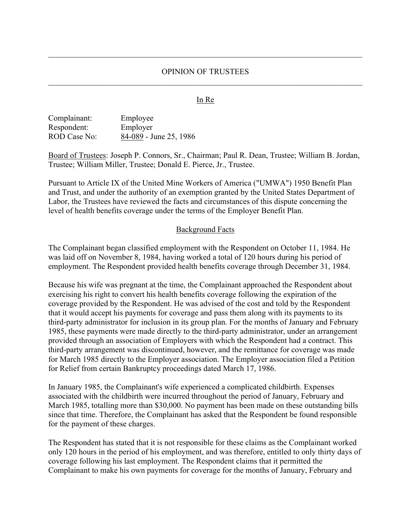## OPINION OF TRUSTEES

## In Re

| Complainant: | Employee               |
|--------------|------------------------|
| Respondent:  | Employer               |
| ROD Case No: | 84-089 - June 25, 1986 |

Board of Trustees: Joseph P. Connors, Sr., Chairman; Paul R. Dean, Trustee; William B. Jordan, Trustee; William Miller, Trustee; Donald E. Pierce, Jr., Trustee.

Pursuant to Article IX of the United Mine Workers of America ("UMWA") 1950 Benefit Plan and Trust, and under the authority of an exemption granted by the United States Department of Labor, the Trustees have reviewed the facts and circumstances of this dispute concerning the level of health benefits coverage under the terms of the Employer Benefit Plan.

#### Background Facts

The Complainant began classified employment with the Respondent on October 11, 1984. He was laid off on November 8, 1984, having worked a total of 120 hours during his period of employment. The Respondent provided health benefits coverage through December 31, 1984.

Because his wife was pregnant at the time, the Complainant approached the Respondent about exercising his right to convert his health benefits coverage following the expiration of the coverage provided by the Respondent. He was advised of the cost and told by the Respondent that it would accept his payments for coverage and pass them along with its payments to its third-party administrator for inclusion in its group plan. For the months of January and February 1985, these payments were made directly to the third-party administrator, under an arrangement provided through an association of Employers with which the Respondent had a contract. This third-party arrangement was discontinued, however, and the remittance for coverage was made for March 1985 directly to the Employer association. The Employer association filed a Petition for Relief from certain Bankruptcy proceedings dated March 17, 1986.

In January 1985, the Complainant's wife experienced a complicated childbirth. Expenses associated with the childbirth were incurred throughout the period of January, February and March 1985, totalling more than \$30,000. No payment has been made on these outstanding bills since that time. Therefore, the Complainant has asked that the Respondent be found responsible for the payment of these charges.

The Respondent has stated that it is not responsible for these claims as the Complainant worked only 120 hours in the period of his employment, and was therefore, entitled to only thirty days of coverage following his last employment. The Respondent claims that it permitted the Complainant to make his own payments for coverage for the months of January, February and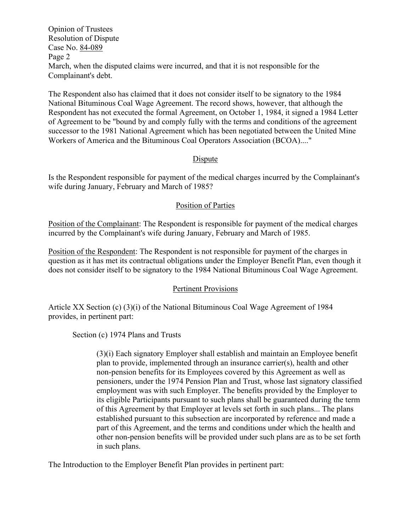Opinion of Trustees Resolution of Dispute Case No. 84-089 Page 2 March, when the disputed claims were incurred, and that it is not responsible for the Complainant's debt.

The Respondent also has claimed that it does not consider itself to be signatory to the 1984 National Bituminous Coal Wage Agreement. The record shows, however, that although the Respondent has not executed the formal Agreement, on October 1, 1984, it signed a 1984 Letter of Agreement to be "bound by and comply fully with the terms and conditions of the agreement successor to the 1981 National Agreement which has been negotiated between the United Mine Workers of America and the Bituminous Coal Operators Association (BCOA)...."

## Dispute

Is the Respondent responsible for payment of the medical charges incurred by the Complainant's wife during January, February and March of 1985?

# Position of Parties

Position of the Complainant: The Respondent is responsible for payment of the medical charges incurred by the Complainant's wife during January, February and March of 1985.

Position of the Respondent: The Respondent is not responsible for payment of the charges in question as it has met its contractual obligations under the Employer Benefit Plan, even though it does not consider itself to be signatory to the 1984 National Bituminous Coal Wage Agreement.

## Pertinent Provisions

Article XX Section (c) (3)(i) of the National Bituminous Coal Wage Agreement of 1984 provides, in pertinent part:

Section (c) 1974 Plans and Trusts

(3)(i) Each signatory Employer shall establish and maintain an Employee benefit plan to provide, implemented through an insurance carrier(s), health and other non-pension benefits for its Employees covered by this Agreement as well as pensioners, under the 1974 Pension Plan and Trust, whose last signatory classified employment was with such Employer. The benefits provided by the Employer to its eligible Participants pursuant to such plans shall be guaranteed during the term of this Agreement by that Employer at levels set forth in such plans... The plans established pursuant to this subsection are incorporated by reference and made a part of this Agreement, and the terms and conditions under which the health and other non-pension benefits will be provided under such plans are as to be set forth in such plans.

The Introduction to the Employer Benefit Plan provides in pertinent part: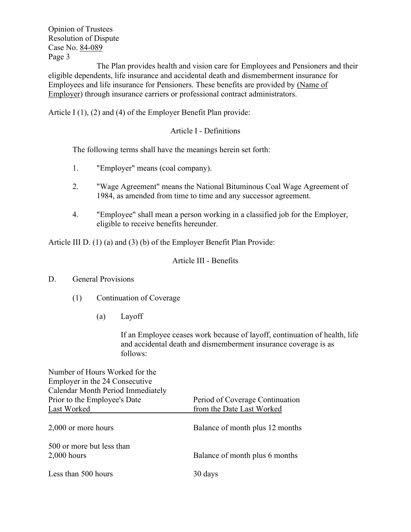Opinion of Trustees Resolution of Dispute Case No. 84-089 Page 3

The Plan provides health and vision care for Employees and Pensioners and their eligible dependents, life insurance and accidental death and dismemberment insurance for Employees and life insurance for Pensioners. These benefits are provided by (Name of Employer) through insurance carriers or professional contract administrators.

Article I (1), (2) and (4) of the Employer Benefit Plan provide:

# Article I - Definitions

The following terms shall have the meanings herein set forth:

- 1. "Employer" means (coal company).
- 2. "Wage Agreement" means the National Bituminous Coal Wage Agreement of 1984, as amended from time to time and any successor agreement.
- 4. "Employee" shall mean a person working in a classified job for the Employer, eligible to receive benefits hereunder.

Article III D. (1) (a) and (3) (b) of the Employer Benefit Plan Provide:

# Article III - Benefits

# D. General Provisions

- (1) Continuation of Coverage
	- (a) Layoff

If an Employee ceases work because of layoff, continuation of health, life and accidental death and dismemberment insurance coverage is as follows:

| Number of Hours Worked for the<br>Employer in the 24 Consecutive |                                 |
|------------------------------------------------------------------|---------------------------------|
| Calendar Month Period Immediately                                |                                 |
| Prior to the Employee's Date                                     | Period of Coverage Continuation |
| Last Worked                                                      | from the Date Last Worked       |
| 2,000 or more hours                                              | Balance of month plus 12 months |
| 500 or more but less than<br>$2,000$ hours                       | Balance of month plus 6 months  |
| Less than 500 hours                                              | 30 days                         |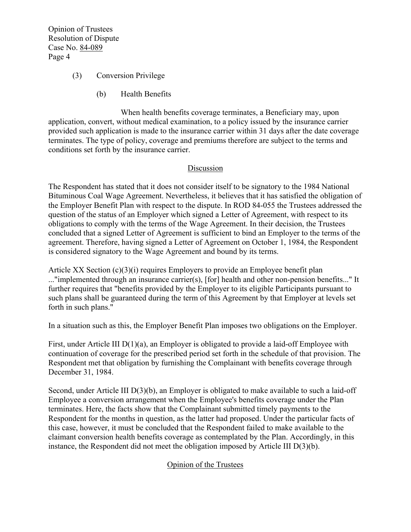Opinion of Trustees Resolution of Dispute Case No. 84-089 Page 4

- (3) Conversion Privilege
	- (b) Health Benefits

When health benefits coverage terminates, a Beneficiary may, upon application, convert, without medical examination, to a policy issued by the insurance carrier provided such application is made to the insurance carrier within 31 days after the date coverage terminates. The type of policy, coverage and premiums therefore are subject to the terms and conditions set forth by the insurance carrier.

## Discussion

The Respondent has stated that it does not consider itself to be signatory to the 1984 National Bituminous Coal Wage Agreement. Nevertheless, it believes that it has satisfied the obligation of the Employer Benefit Plan with respect to the dispute. In ROD 84-055 the Trustees addressed the question of the status of an Employer which signed a Letter of Agreement, with respect to its obligations to comply with the terms of the Wage Agreement. In their decision, the Trustees concluded that a signed Letter of Agreement is sufficient to bind an Employer to the terms of the agreement. Therefore, having signed a Letter of Agreement on October 1, 1984, the Respondent is considered signatory to the Wage Agreement and bound by its terms.

Article XX Section (c)(3)(i) requires Employers to provide an Employee benefit plan ..."implemented through an insurance carrier(s), [for] health and other non-pension benefits..." It further requires that "benefits provided by the Employer to its eligible Participants pursuant to such plans shall be guaranteed during the term of this Agreement by that Employer at levels set forth in such plans."

In a situation such as this, the Employer Benefit Plan imposes two obligations on the Employer.

First, under Article III  $D(1)(a)$ , an Employer is obligated to provide a laid-off Employee with continuation of coverage for the prescribed period set forth in the schedule of that provision. The Respondent met that obligation by furnishing the Complainant with benefits coverage through December 31, 1984.

Second, under Article III D(3)(b), an Employer is obligated to make available to such a laid-off Employee a conversion arrangement when the Employee's benefits coverage under the Plan terminates. Here, the facts show that the Complainant submitted timely payments to the Respondent for the months in question, as the latter had proposed. Under the particular facts of this case, however, it must be concluded that the Respondent failed to make available to the claimant conversion health benefits coverage as contemplated by the Plan. Accordingly, in this instance, the Respondent did not meet the obligation imposed by Article III D(3)(b).

# Opinion of the Trustees